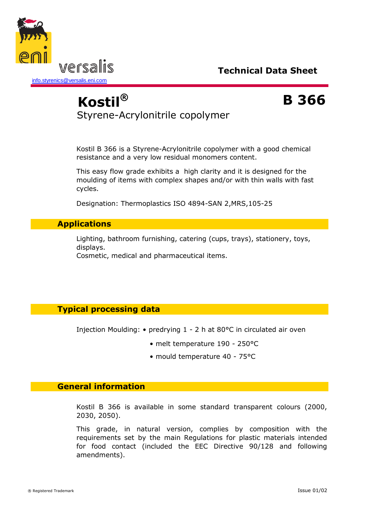



# **Kostil® B 366** Styrene-Acrylonitrile copolymer

Kostil B 366 is a Styrene-Acrylonitrile copolymer with a good chemical resistance and a very low residual monomers content.

This easy flow grade exhibits a high clarity and it is designed for the moulding of items with complex shapes and/or with thin walls with fast cycles.

Designation: Thermoplastics ISO 4894-SAN 2,MRS,105-25

### **Applications**

Lighting, bathroom furnishing, catering (cups, trays), stationery, toys, displays.

Cosmetic, medical and pharmaceutical items.

## **Typical processing data**

Injection Moulding: • predrying 1 - 2 h at 80°C in circulated air oven

- melt temperature 190 250°C
- mould temperature 40 75°C

#### **General information**

Kostil B 366 is available in some standard transparent colours (2000, 2030, 2050).

This grade, in natural version, complies by composition with the requirements set by the main Regulations for plastic materials intended for food contact (included the EEC Directive 90/128 and following amendments).